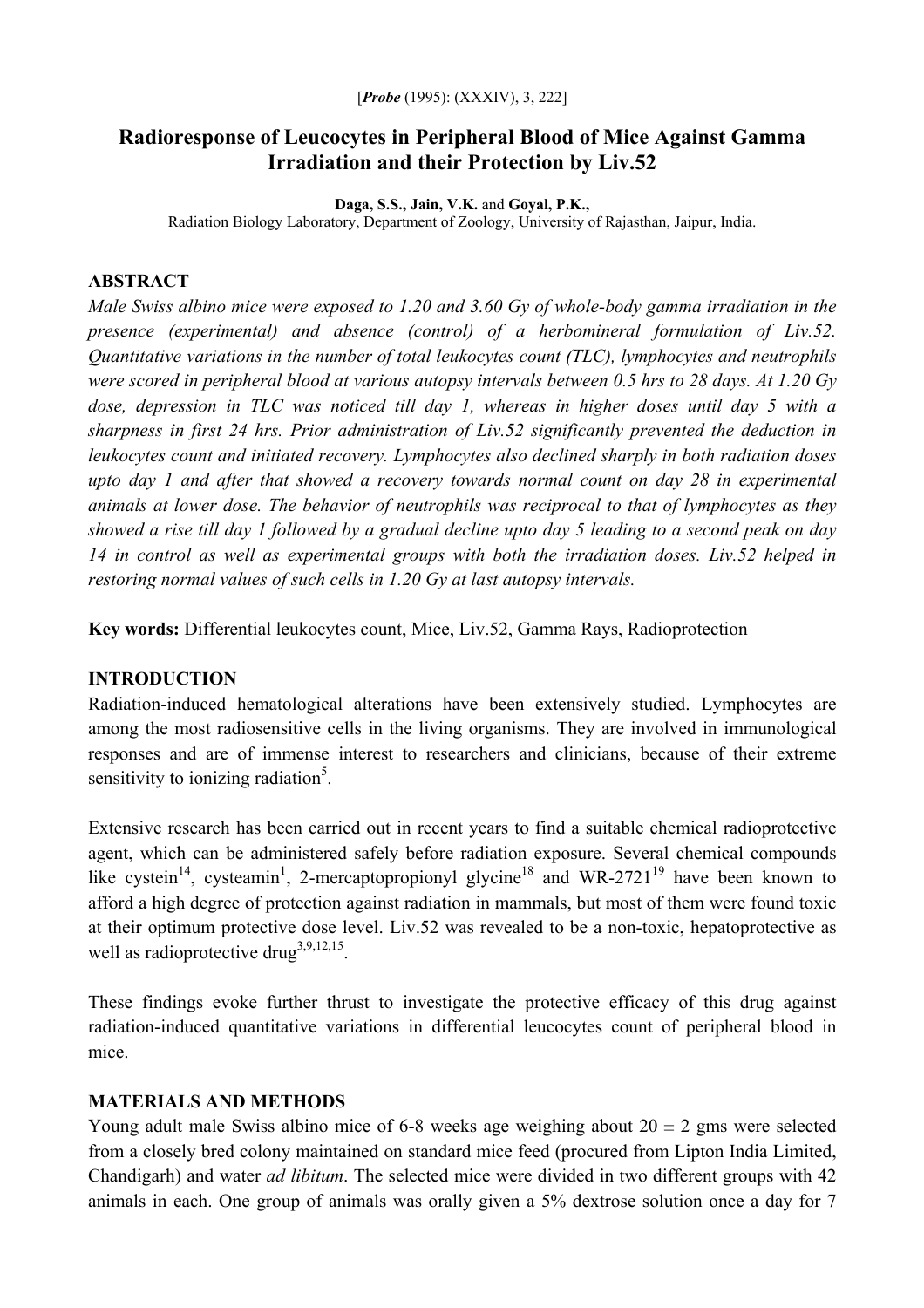## **Radioresponse of Leucocytes in Peripheral Blood of Mice Against Gamma Irradiation and their Protection by Liv.52**

**Daga, S.S., Jain, V.K.** and **Goyal, P.K.,** 

Radiation Biology Laboratory, Department of Zoology, University of Rajasthan, Jaipur, India.

## **ABSTRACT**

*Male Swiss albino mice were exposed to 1.20 and 3.60 Gy of whole-body gamma irradiation in the presence (experimental) and absence (control) of a herbomineral formulation of Liv.52. Quantitative variations in the number of total leukocytes count (TLC), lymphocytes and neutrophils were scored in peripheral blood at various autopsy intervals between 0.5 hrs to 28 days. At 1.20 Gy dose, depression in TLC was noticed till day 1, whereas in higher doses until day 5 with a sharpness in first 24 hrs. Prior administration of Liv.52 significantly prevented the deduction in leukocytes count and initiated recovery. Lymphocytes also declined sharply in both radiation doses upto day 1 and after that showed a recovery towards normal count on day 28 in experimental animals at lower dose. The behavior of neutrophils was reciprocal to that of lymphocytes as they showed a rise till day 1 followed by a gradual decline upto day 5 leading to a second peak on day 14 in control as well as experimental groups with both the irradiation doses. Liv.52 helped in restoring normal values of such cells in 1.20 Gy at last autopsy intervals.* 

**Key words:** Differential leukocytes count, Mice, Liv.52, Gamma Rays, Radioprotection

# **INTRODUCTION**

Radiation-induced hematological alterations have been extensively studied. Lymphocytes are among the most radiosensitive cells in the living organisms. They are involved in immunological responses and are of immense interest to researchers and clinicians, because of their extreme sensitivity to ionizing radiation<sup>5</sup>.

Extensive research has been carried out in recent years to find a suitable chemical radioprotective agent, which can be administered safely before radiation exposure. Several chemical compounds like cystein<sup>14</sup>, cysteamin<sup>1</sup>, 2-mercaptopropionyl glycine<sup>18</sup> and WR-2721<sup>19</sup> have been known to afford a high degree of protection against radiation in mammals, but most of them were found toxic at their optimum protective dose level. Liv.52 was revealed to be a non-toxic, hepatoprotective as well as radioprotective drug<sup>3,9,12,15</sup>.

These findings evoke further thrust to investigate the protective efficacy of this drug against radiation-induced quantitative variations in differential leucocytes count of peripheral blood in mice.

### **MATERIALS AND METHODS**

Young adult male Swiss albino mice of 6-8 weeks age weighing about  $20 \pm 2$  gms were selected from a closely bred colony maintained on standard mice feed (procured from Lipton India Limited, Chandigarh) and water *ad libitum*. The selected mice were divided in two different groups with 42 animals in each. One group of animals was orally given a 5% dextrose solution once a day for 7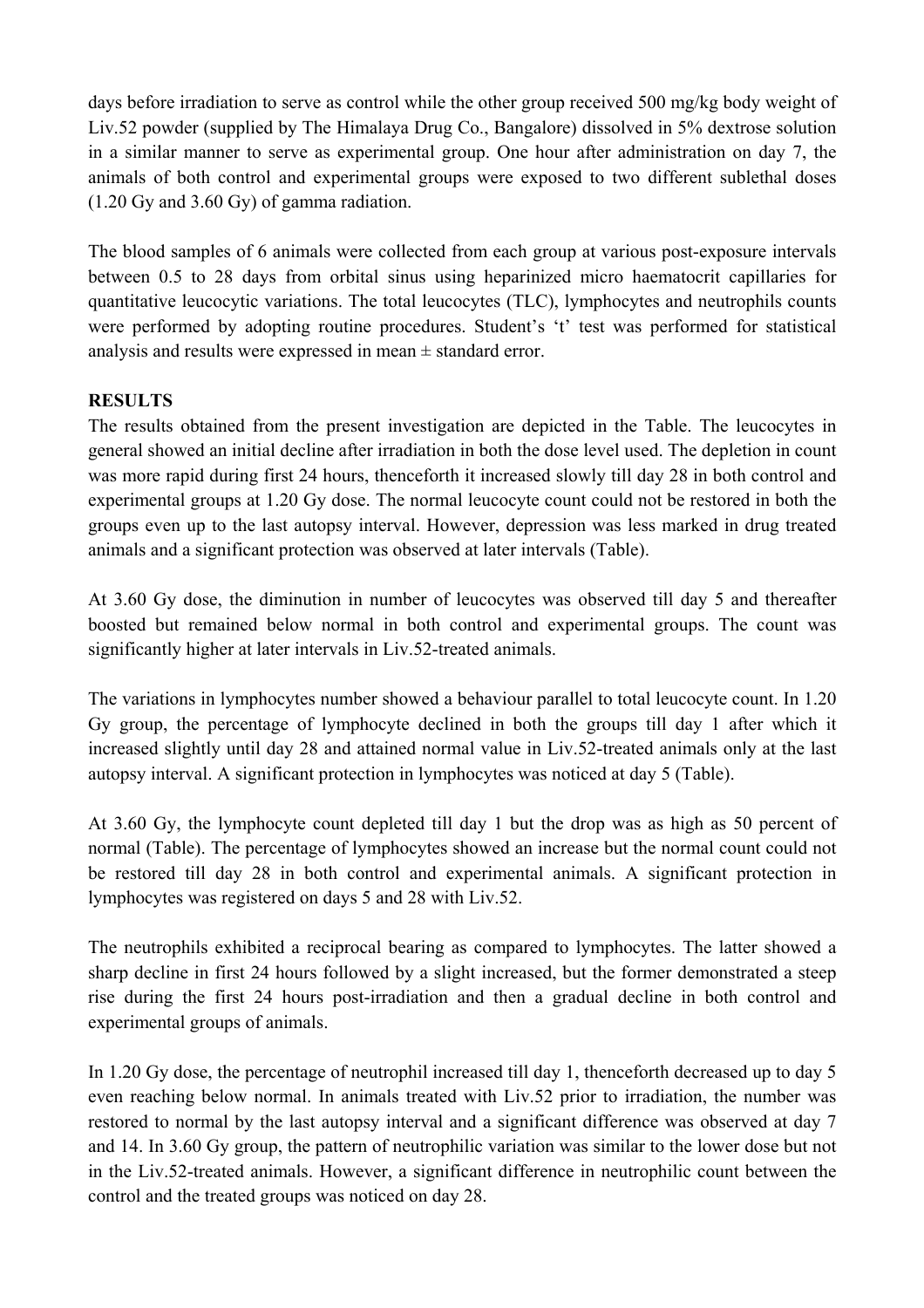days before irradiation to serve as control while the other group received 500 mg/kg body weight of Liv.52 powder (supplied by The Himalaya Drug Co., Bangalore) dissolved in 5% dextrose solution in a similar manner to serve as experimental group. One hour after administration on day 7, the animals of both control and experimental groups were exposed to two different sublethal doses (1.20 Gy and 3.60 Gy) of gamma radiation.

The blood samples of 6 animals were collected from each group at various post-exposure intervals between 0.5 to 28 days from orbital sinus using heparinized micro haematocrit capillaries for quantitative leucocytic variations. The total leucocytes (TLC), lymphocytes and neutrophils counts were performed by adopting routine procedures. Student's 't' test was performed for statistical analysis and results were expressed in mean ± standard error.

### **RESULTS**

The results obtained from the present investigation are depicted in the Table. The leucocytes in general showed an initial decline after irradiation in both the dose level used. The depletion in count was more rapid during first 24 hours, thenceforth it increased slowly till day 28 in both control and experimental groups at 1.20 Gy dose. The normal leucocyte count could not be restored in both the groups even up to the last autopsy interval. However, depression was less marked in drug treated animals and a significant protection was observed at later intervals (Table).

At 3.60 Gy dose, the diminution in number of leucocytes was observed till day 5 and thereafter boosted but remained below normal in both control and experimental groups. The count was significantly higher at later intervals in Liv.52-treated animals.

The variations in lymphocytes number showed a behaviour parallel to total leucocyte count. In 1.20 Gy group, the percentage of lymphocyte declined in both the groups till day 1 after which it increased slightly until day 28 and attained normal value in Liv.52-treated animals only at the last autopsy interval. A significant protection in lymphocytes was noticed at day 5 (Table).

At 3.60 Gy, the lymphocyte count depleted till day 1 but the drop was as high as 50 percent of normal (Table). The percentage of lymphocytes showed an increase but the normal count could not be restored till day 28 in both control and experimental animals. A significant protection in lymphocytes was registered on days 5 and 28 with Liv.52.

The neutrophils exhibited a reciprocal bearing as compared to lymphocytes. The latter showed a sharp decline in first 24 hours followed by a slight increased, but the former demonstrated a steep rise during the first 24 hours post-irradiation and then a gradual decline in both control and experimental groups of animals.

In 1.20 Gy dose, the percentage of neutrophil increased till day 1, thenceforth decreased up to day 5 even reaching below normal. In animals treated with Liv.52 prior to irradiation, the number was restored to normal by the last autopsy interval and a significant difference was observed at day 7 and 14. In 3.60 Gy group, the pattern of neutrophilic variation was similar to the lower dose but not in the Liv.52-treated animals. However, a significant difference in neutrophilic count between the control and the treated groups was noticed on day 28.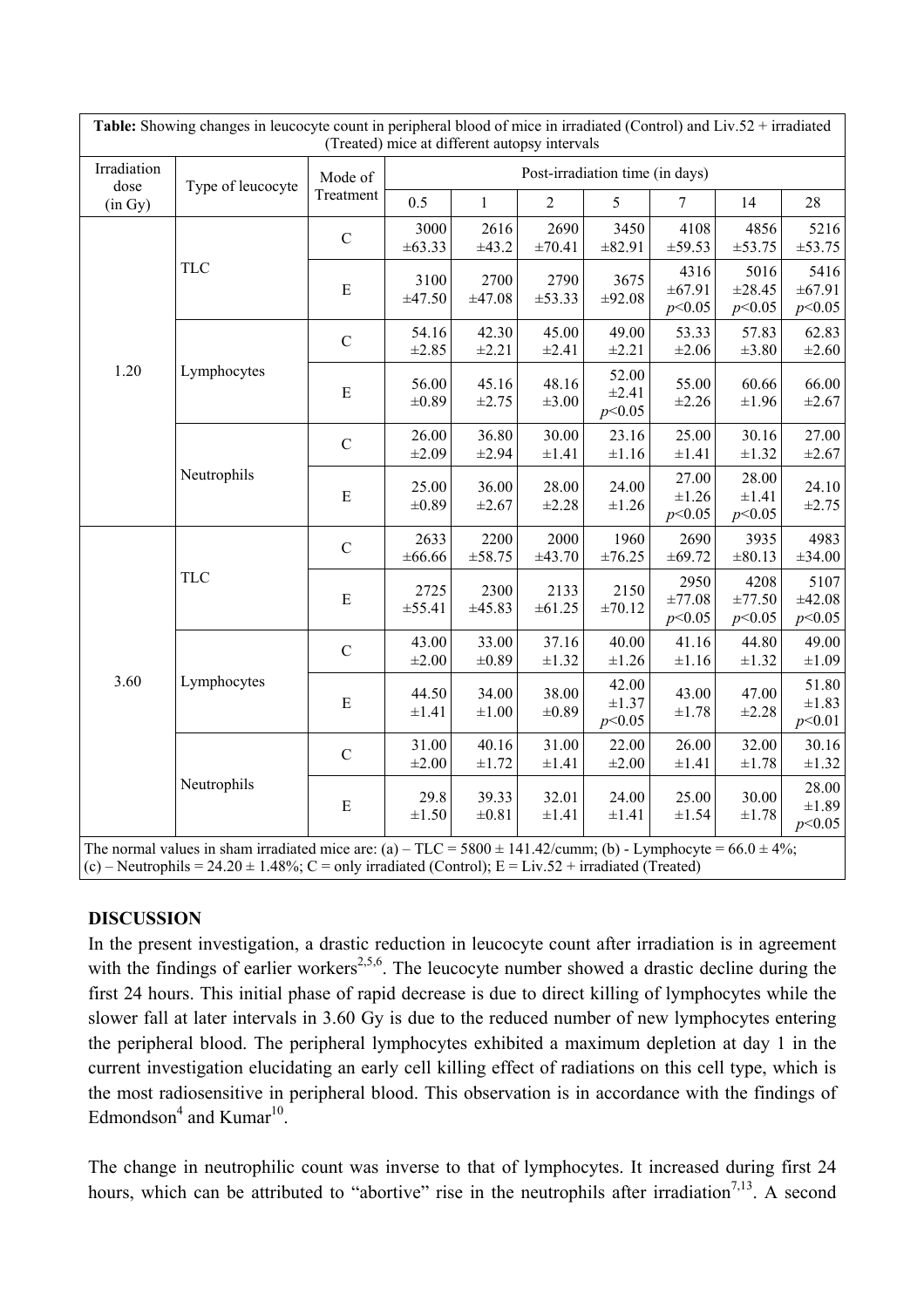| Irradiation<br>dose<br>(in Gy) | Type of leucocyte | Mode of<br>Treatment | Post-irradiation time (in days) |                     |                     |                               |                               |                          |                               |
|--------------------------------|-------------------|----------------------|---------------------------------|---------------------|---------------------|-------------------------------|-------------------------------|--------------------------|-------------------------------|
|                                |                   |                      | 0.5                             | $\mathbf{1}$        | $\overline{2}$      | 5                             | $\overline{7}$                | 14                       | 28                            |
| 1.20                           | <b>TLC</b>        | $\mathbf C$          | 3000<br>$\pm 63.33$             | 2616<br>±43.2       | 2690<br>$\pm 70.41$ | 3450<br>±82.91                | 4108<br>±59.53                | 4856<br>±53.75           | 5216<br>±53.75                |
|                                |                   | E                    | 3100<br>±47.50                  | 2700<br>±47.08      | 2790<br>±53.33      | 3675<br>±92.08                | 4316<br>±67.91<br>p<0.05      | 5016<br>±28.45<br>p<0.05 | 5416<br>±67.91<br>p<0.05      |
|                                | Lymphocytes       | $\mathbf C$          | 54.16<br>±2.85                  | 42.30<br>±2.21      | 45.00<br>$\pm 2.41$ | 49.00<br>$\pm 2.21$           | 53.33<br>$\pm 2.06$           | 57.83<br>$\pm 3.80$      | 62.83<br>$\pm 2.60$           |
|                                |                   | ${\bf E}$            | 56.00<br>$\pm 0.89$             | 45.16<br>±2.75      | 48.16<br>$\pm 3.00$ | 52.00<br>$\pm 2.41$<br>p<0.05 | 55.00<br>$\pm 2.26$           | 60.66<br>$\pm 1.96$      | 66.00<br>$\pm 2.67$           |
|                                | Neutrophils       | $\mathcal{C}$        | 26.00<br>$\pm 2.09$             | 36.80<br>$\pm 2.94$ | 30.00<br>$\pm 1.41$ | 23.16<br>$\pm 1.16$           | 25.00<br>$\pm 1.41$           | 30.16<br>±1.32           | 27.00<br>$\pm 2.67$           |
|                                |                   | ${\bf E}$            | 25.00<br>$\pm 0.89$             | 36.00<br>$\pm 2.67$ | 28.00<br>±2.28      | 24.00<br>$\pm 1.26$           | 27.00<br>$\pm 1.26$<br>p<0.05 | 28.00<br>±1.41<br>p<0.05 | 24.10<br>±2.75                |
| 3.60                           | <b>TLC</b>        | $\mathbf C$          | 2633<br>±66.66                  | 2200<br>±58.75      | 2000<br>±43.70      | 1960<br>±76.25                | 2690<br>±69.72                | 3935<br>$\pm 80.13$      | 4983<br>±34.00                |
|                                |                   | ${\bf E}$            | 2725<br>±55.41                  | 2300<br>±45.83      | 2133<br>±61.25      | 2150<br>±70.12                | 2950<br>±77.08<br>p<0.05      | 4208<br>±77.50<br>p<0.05 | 5107<br>±42.08<br>p<0.05      |
|                                | Lymphocytes       | $\mathbf C$          | 43.00<br>$\pm 2.00$             | 33.00<br>$\pm 0.89$ | 37.16<br>$\pm 1.32$ | 40.00<br>$\pm 1.26$           | 41.16<br>$\pm 1.16$           | 44.80<br>±1.32           | 49.00<br>$\pm 1.09$           |
|                                |                   | ${\bf E}$            | 44.50<br>$\pm 1.41$             | 34.00<br>$\pm 1.00$ | 38.00<br>$\pm 0.89$ | 42.00<br>$\pm 1.37$<br>p<0.05 | 43.00<br>±1.78                | 47.00<br>$\pm 2.28$      | 51.80<br>$\pm 1.83$<br>p<0.01 |
|                                | Neutrophils       | $\mathcal{C}$        | 31.00<br>$\pm 2.00$             | 40.16<br>±1.72      | 31.00<br>$\pm 1.41$ | 22.00<br>$\pm 2.00$           | 26.00<br>$\pm 1.41$           | 32.00<br>±1.78           | 30.16<br>$\pm 1.32$           |
|                                |                   | ${\bf E}$            | 29.8<br>$\pm 1.50$              | 39.33<br>$\pm 0.81$ | 32.01<br>$\pm 1.41$ | 24.00<br>$\pm 1.41$           | 25.00<br>±1.54                | 30.00<br>$\pm 1.78$      | 28.00<br>$\pm 1.89$<br>p<0.05 |

#### **DISCUSSION**

In the present investigation, a drastic reduction in leucocyte count after irradiation is in agreement with the findings of earlier workers<sup>2,5,6</sup>. The leucocyte number showed a drastic decline during the first 24 hours. This initial phase of rapid decrease is due to direct killing of lymphocytes while the slower fall at later intervals in 3.60 Gy is due to the reduced number of new lymphocytes entering the peripheral blood. The peripheral lymphocytes exhibited a maximum depletion at day 1 in the current investigation elucidating an early cell killing effect of radiations on this cell type, which is the most radiosensitive in peripheral blood. This observation is in accordance with the findings of Edmondson<sup>4</sup> and Kumar<sup>10</sup>.

The change in neutrophilic count was inverse to that of lymphocytes. It increased during first 24 hours, which can be attributed to "abortive" rise in the neutrophils after irradiation<sup>7,13</sup>. A second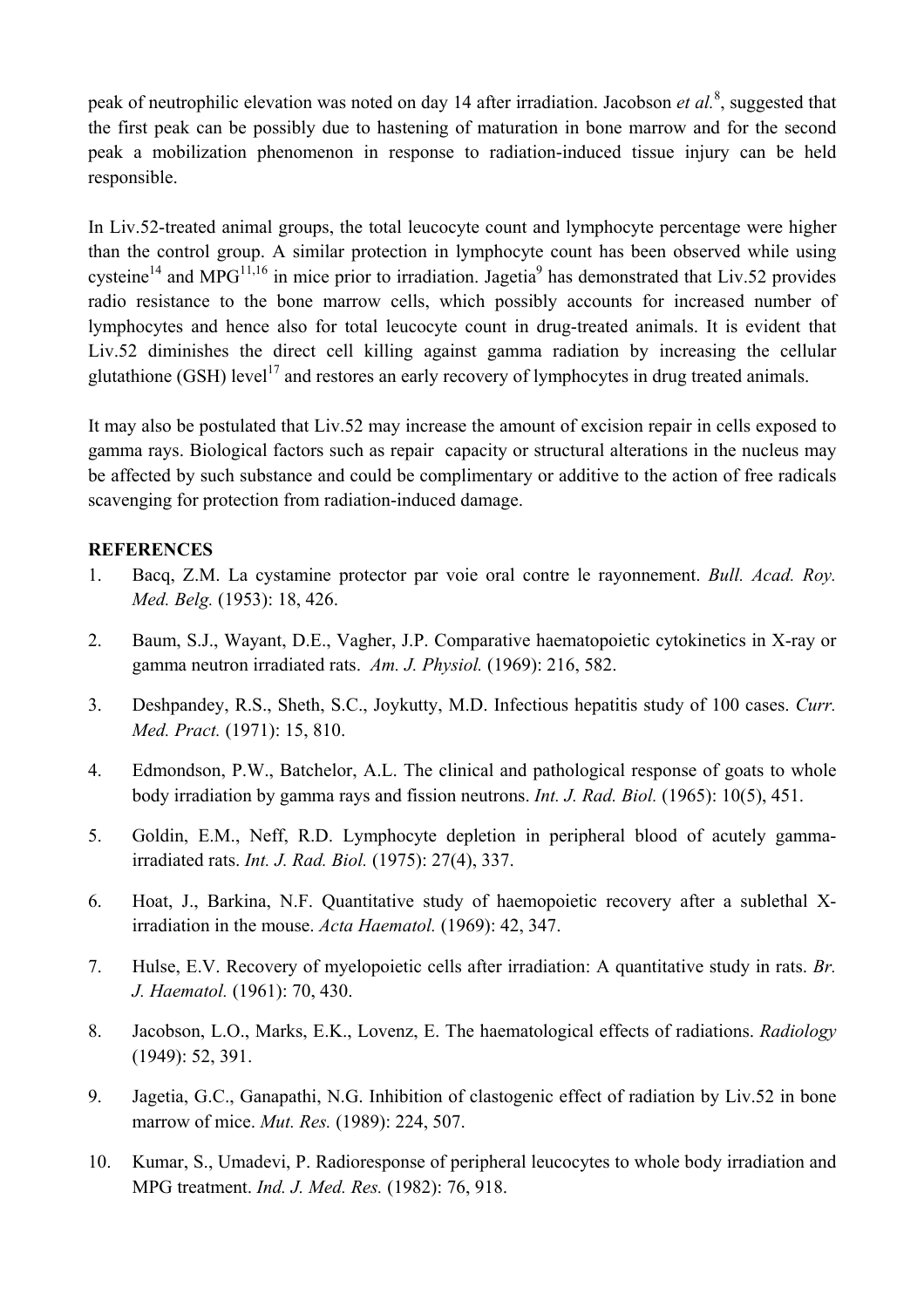peak of neutrophilic elevation was noted on day 14 after irradiation. Jacobson *et al.*<sup>8</sup>, suggested that the first peak can be possibly due to hastening of maturation in bone marrow and for the second peak a mobilization phenomenon in response to radiation-induced tissue injury can be held responsible.

In Liv.52-treated animal groups, the total leucocyte count and lymphocyte percentage were higher than the control group. A similar protection in lymphocyte count has been observed while using cysteine<sup>14</sup> and MPG<sup>11,16</sup> in mice prior to irradiation. Jagetia<sup>9</sup> has demonstrated that Liv.52 provides radio resistance to the bone marrow cells, which possibly accounts for increased number of lymphocytes and hence also for total leucocyte count in drug-treated animals. It is evident that Liv.52 diminishes the direct cell killing against gamma radiation by increasing the cellular glutathione (GSH) level<sup>17</sup> and restores an early recovery of lymphocytes in drug treated animals.

It may also be postulated that Liv.52 may increase the amount of excision repair in cells exposed to gamma rays. Biological factors such as repair capacity or structural alterations in the nucleus may be affected by such substance and could be complimentary or additive to the action of free radicals scavenging for protection from radiation-induced damage.

#### **REFERENCES**

- 1. Bacq, Z.M. La cystamine protector par voie oral contre le rayonnement. *Bull. Acad. Roy. Med. Belg.* (1953): 18, 426.
- 2. Baum, S.J., Wayant, D.E., Vagher, J.P. Comparative haematopoietic cytokinetics in X-ray or gamma neutron irradiated rats. *Am. J. Physiol.* (1969): 216, 582.
- 3. Deshpandey, R.S., Sheth, S.C., Joykutty, M.D. Infectious hepatitis study of 100 cases. *Curr. Med. Pract.* (1971): 15, 810.
- 4. Edmondson, P.W., Batchelor, A.L. The clinical and pathological response of goats to whole body irradiation by gamma rays and fission neutrons. *Int. J. Rad. Biol.* (1965): 10(5), 451.
- 5. Goldin, E.M., Neff, R.D. Lymphocyte depletion in peripheral blood of acutely gammairradiated rats. *Int. J. Rad. Biol.* (1975): 27(4), 337.
- 6. Hoat, J., Barkina, N.F. Quantitative study of haemopoietic recovery after a sublethal Xirradiation in the mouse. *Acta Haematol.* (1969): 42, 347.
- 7. Hulse, E.V. Recovery of myelopoietic cells after irradiation: A quantitative study in rats. *Br. J. Haematol.* (1961): 70, 430.
- 8. Jacobson, L.O., Marks, E.K., Lovenz, E. The haematological effects of radiations. *Radiology* (1949): 52, 391.
- 9. Jagetia, G.C., Ganapathi, N.G. Inhibition of clastogenic effect of radiation by Liv.52 in bone marrow of mice. *Mut. Res.* (1989): 224, 507.
- 10. Kumar, S., Umadevi, P. Radioresponse of peripheral leucocytes to whole body irradiation and MPG treatment. *Ind. J. Med. Res.* (1982): 76, 918.